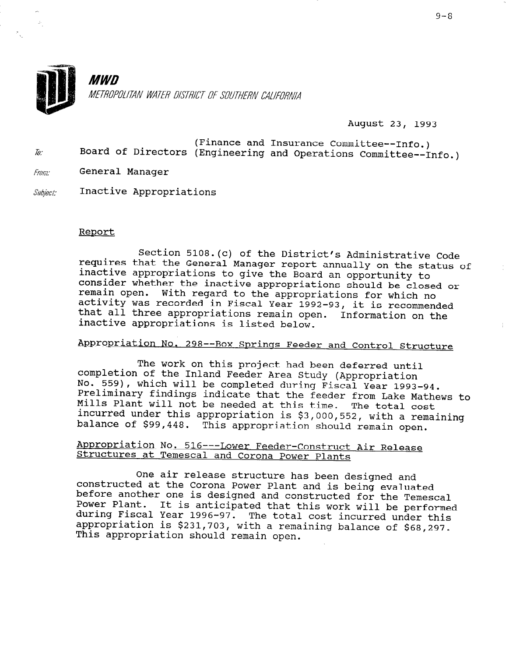

**MWD** METROPOLITAN WATER DISTRICT OF SOUTHERN CALIFORNIA

August 23, 1993

- (Finance and Insurance Committee--Info.) Board of Directors (Engineering and Operations Committee--Info.)  $\bar{w}$
- $Fromr$  General Manager
- $Subiset:$  Inactive Appropriations

## Report

Section 5108.(c) of the District's Administrative Code requires that the General Manager report annually on the status of inactive appropriations to give the Board an opportunity to consider whether the inactive appropriations should be closed or remain open. With regard to the appropriations for which no activity was recorded in Fiscal Year 1992-93, it is recommended that all three appropriations remain open. Information on the inactive appropriations is listed below.

## Appropriation No. 298--Box Springs Feeder and Control Structure

The work on this project had been deferred until completion of the Inland Feeder Area Study (Appropriation No. 559), which will be completed during Fiscal Year 1993-94. Preliminary findings indicate that the feeder from Lake Mathews to Mills Plant will not be needed at this time. The total cost incurred under this appropriation is  $$3,000,552, ...$ balance of \$99,448. This appropriation should remain open.

## Appropriation No. 516--- Lower Feeder-Construct Air Release Structures at Temescal and Corona Power Plant

One air release structure has been designed and constructed at the Corona Power Plant and is being evaluated before another one is designed and constructed for the Temescal ported another one is designed and constructed for the Temesca. during Fiscal Year 1996-97. ad any fibout four 1990 97. The cotal cost incurred under the during Fiscal Year 1996-97. The total cost incurred under this This appropriation should remain open.